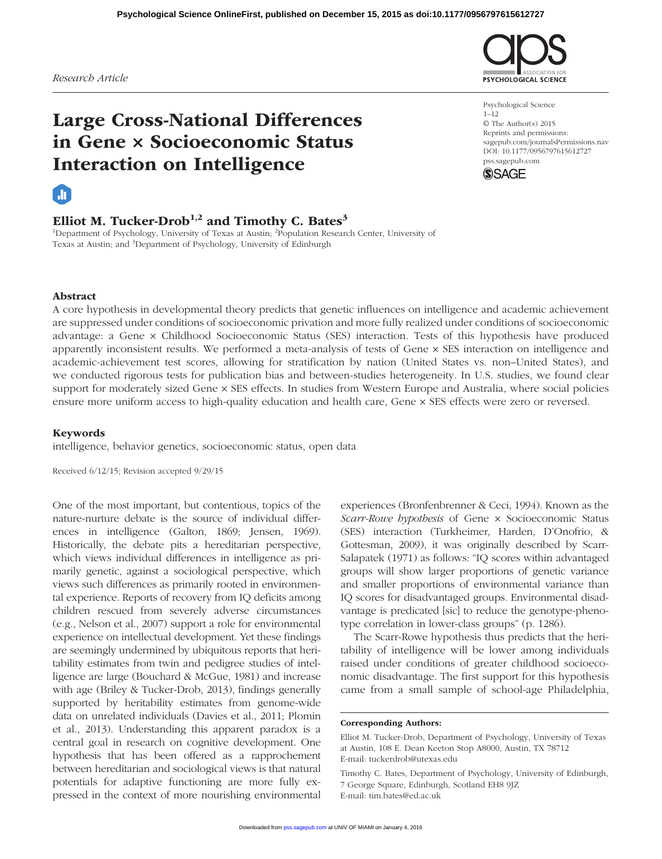*Research Article*

# Large Cross-National Differences in Gene × Socioeconomic Status Interaction on Intelligence

m

Elliot M. Tucker-Drob<sup>1,2</sup> and Timothy C. Bates<sup>3</sup>

<sup>1</sup>Department of Psychology, University of Texas at Austin; <sup>2</sup>Population Research Center, University of Texas at Austin; and <sup>3</sup>Department of Psychology, University of Edinburgh

#### Psychological Science 1–12 © The Author(s) 2015 Reprints and permissions: sagepub.com/journalsPermissions.nav DOI: 10.1177/0956797615612727 pss.sagepub.com



Abstract A core hypothesis in developmental theory predicts that genetic influences on intelligence and academic achievement are suppressed under conditions of socioeconomic privation and more fully realized under conditions of socioeconomic advantage: a Gene × Childhood Socioeconomic Status (SES) interaction. Tests of this hypothesis have produced apparently inconsistent results. We performed a meta-analysis of tests of Gene × SES interaction on intelligence and academic-achievement test scores, allowing for stratification by nation (United States vs. non–United States), and we conducted rigorous tests for publication bias and between-studies heterogeneity. In U.S. studies, we found clear support for moderately sized Gene × SES effects. In studies from Western Europe and Australia, where social policies ensure more uniform access to high-quality education and health care, Gene × SES effects were zero or reversed.

#### Keywords

intelligence, behavior genetics, socioeconomic status, open data

Received 6/12/15; Revision accepted 9/29/15

One of the most important, but contentious, topics of the nature-nurture debate is the source of individual differences in intelligence (Galton, 1869; Jensen, 1969). Historically, the debate pits a hereditarian perspective, which views individual differences in intelligence as primarily genetic, against a sociological perspective, which views such differences as primarily rooted in environmental experience. Reports of recovery from IQ deficits among children rescued from severely adverse circumstances (e.g., Nelson et al., 2007) support a role for environmental experience on intellectual development. Yet these findings are seemingly undermined by ubiquitous reports that heritability estimates from twin and pedigree studies of intelligence are large (Bouchard & McGue, 1981) and increase with age (Briley & Tucker-Drob, 2013), findings generally supported by heritability estimates from genome-wide data on unrelated individuals (Davies et al., 2011; Plomin et al., 2013). Understanding this apparent paradox is a central goal in research on cognitive development. One hypothesis that has been offered as a rapprochement between hereditarian and sociological views is that natural potentials for adaptive functioning are more fully expressed in the context of more nourishing environmental experiences (Bronfenbrenner & Ceci, 1994). Known as the *Scarr-Rowe hypothesis* of Gene × Socioeconomic Status (SES) interaction (Turkheimer, Harden, D'Onofrio, & Gottesman, 2009), it was originally described by Scarr-Salapatek (1971) as follows: "IQ scores within advantaged groups will show larger proportions of genetic variance and smaller proportions of environmental variance than IQ scores for disadvantaged groups. Environmental disadvantage is predicated [sic] to reduce the genotype-phenotype correlation in lower-class groups" (p. 1286).

The Scarr-Rowe hypothesis thus predicts that the heritability of intelligence will be lower among individuals raised under conditions of greater childhood socioeconomic disadvantage. The first support for this hypothesis came from a small sample of school-age Philadelphia,

#### Corresponding Authors:

Elliot M. Tucker-Drob, Department of Psychology, University of Texas at Austin, 108 E. Dean Keeton Stop A8000, Austin, TX 78712 E-mail: tuckerdrob@utexas.edu

Timothy C. Bates, Department of Psychology, University of Edinburgh, 7 George Square, Edinburgh, Scotland EH8 9JZ E-mail: tim.bates@ed.ac.uk

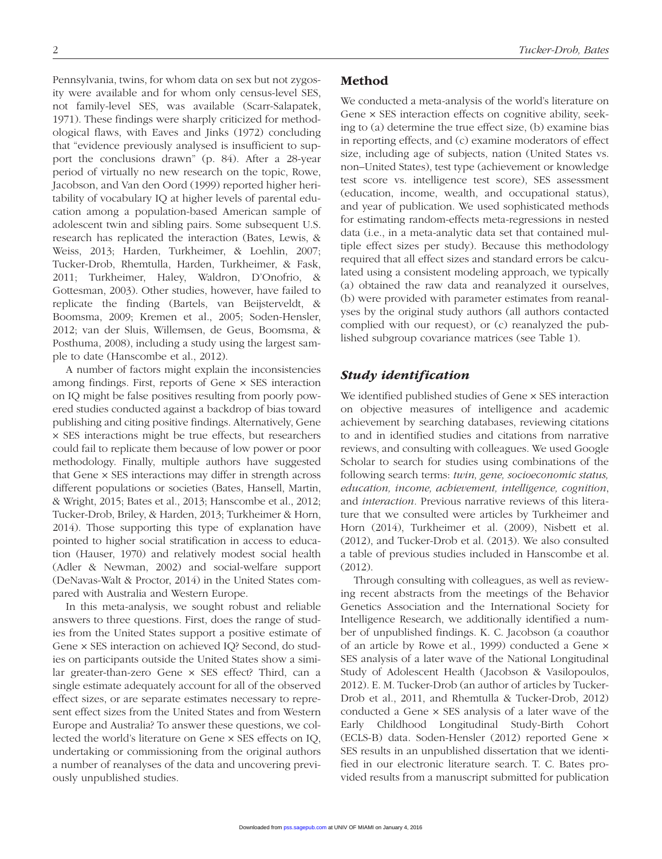Pennsylvania, twins, for whom data on sex but not zygosity were available and for whom only census-level SES, **Method** 

not family-level SES, was available (Scarr-Salapatek, 1971). These findings were sharply criticized for methodological flaws, with Eaves and Jinks (1972) concluding that "evidence previously analysed is insufficient to support the conclusions drawn" (p. 84). After a 28-year period of virtually no new research on the topic, Rowe, Jacobson, and Van den Oord (1999) reported higher heritability of vocabulary IQ at higher levels of parental education among a population-based American sample of adolescent twin and sibling pairs. Some subsequent U.S. research has replicated the interaction (Bates, Lewis, & Weiss, 2013; Harden, Turkheimer, & Loehlin, 2007; Tucker-Drob, Rhemtulla, Harden, Turkheimer, & Fask, 2011; Turkheimer, Haley, Waldron, D'Onofrio, & Gottesman, 2003). Other studies, however, have failed to replicate the finding (Bartels, van Beijsterveldt, & Boomsma, 2009; Kremen et al., 2005; Soden-Hensler, 2012; van der Sluis, Willemsen, de Geus, Boomsma, & Posthuma, 2008), including a study using the largest sample to date (Hanscombe et al., 2012).

A number of factors might explain the inconsistencies among findings. First, reports of Gene × SES interaction on IQ might be false positives resulting from poorly powered studies conducted against a backdrop of bias toward publishing and citing positive findings. Alternatively, Gene × SES interactions might be true effects, but researchers could fail to replicate them because of low power or poor methodology. Finally, multiple authors have suggested that Gene × SES interactions may differ in strength across different populations or societies (Bates, Hansell, Martin, & Wright, 2015; Bates et al., 2013; Hanscombe et al., 2012; Tucker-Drob, Briley, & Harden, 2013; Turkheimer & Horn, 2014). Those supporting this type of explanation have pointed to higher social stratification in access to education (Hauser, 1970) and relatively modest social health (Adler & Newman, 2002) and social-welfare support (DeNavas-Walt & Proctor, 2014) in the United States compared with Australia and Western Europe.

In this meta-analysis, we sought robust and reliable answers to three questions. First, does the range of studies from the United States support a positive estimate of Gene × SES interaction on achieved IQ? Second, do studies on participants outside the United States show a similar greater-than-zero Gene × SES effect? Third, can a single estimate adequately account for all of the observed effect sizes, or are separate estimates necessary to represent effect sizes from the United States and from Western Europe and Australia? To answer these questions, we collected the world's literature on Gene × SES effects on IQ, undertaking or commissioning from the original authors a number of reanalyses of the data and uncovering previously unpublished studies.

We conducted a meta-analysis of the world's literature on Gene × SES interaction effects on cognitive ability, seeking to (a) determine the true effect size, (b) examine bias in reporting effects, and (c) examine moderators of effect size, including age of subjects, nation (United States vs. non–United States), test type (achievement or knowledge test score vs. intelligence test score), SES assessment (education, income, wealth, and occupational status), and year of publication. We used sophisticated methods for estimating random-effects meta-regressions in nested data (i.e., in a meta-analytic data set that contained multiple effect sizes per study). Because this methodology required that all effect sizes and standard errors be calculated using a consistent modeling approach, we typically (a) obtained the raw data and reanalyzed it ourselves, (b) were provided with parameter estimates from reanalyses by the original study authors (all authors contacted complied with our request), or (c) reanalyzed the published subgroup covariance matrices (see Table 1).

# *Study identification*

We identified published studies of Gene × SES interaction on objective measures of intelligence and academic achievement by searching databases, reviewing citations to and in identified studies and citations from narrative reviews, and consulting with colleagues. We used Google Scholar to search for studies using combinations of the following search terms: *twin, gene, socioeconomic status, education, income, achievement, intelligence, cognition*, and *interaction.* Previous narrative reviews of this literature that we consulted were articles by Turkheimer and Horn (2014), Turkheimer et al. (2009), Nisbett et al. (2012), and Tucker-Drob et al. (2013). We also consulted a table of previous studies included in Hanscombe et al. (2012).

Through consulting with colleagues, as well as reviewing recent abstracts from the meetings of the Behavior Genetics Association and the International Society for Intelligence Research, we additionally identified a number of unpublished findings. K. C. Jacobson (a coauthor of an article by Rowe et al., 1999) conducted a Gene × SES analysis of a later wave of the National Longitudinal Study of Adolescent Health (Jacobson & Vasilopoulos, 2012). E. M. Tucker-Drob (an author of articles by Tucker-Drob et al., 2011, and Rhemtulla & Tucker-Drob, 2012) conducted a Gene × SES analysis of a later wave of the Early Childhood Longitudinal Study-Birth Cohort (ECLS-B) data. Soden-Hensler (2012) reported Gene × SES results in an unpublished dissertation that we identified in our electronic literature search. T. C. Bates provided results from a manuscript submitted for publication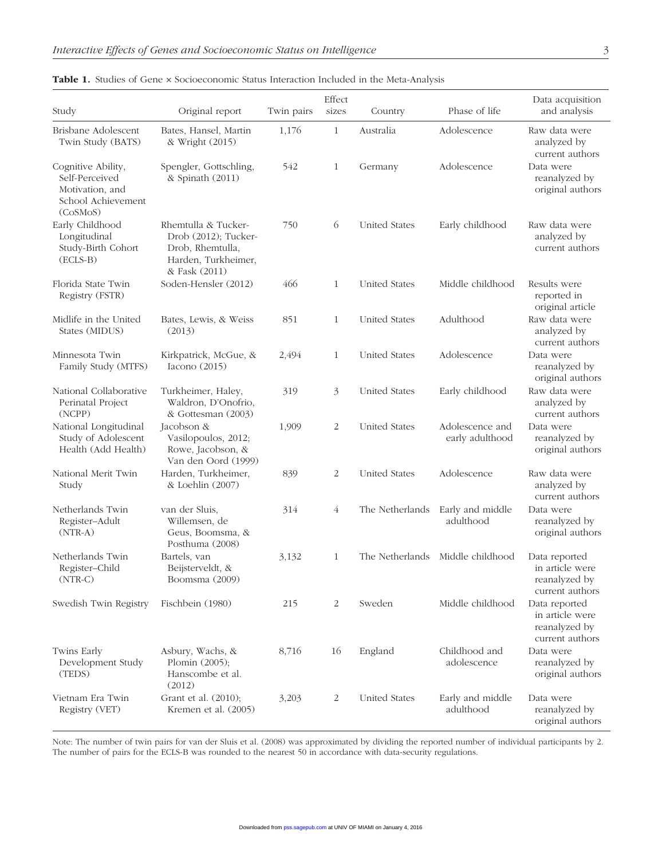| Study                                                                                     | Original report                                                                                         | Twin pairs | Effect<br>sizes | Country              | Phase of life                      | Data acquisition<br>and analysis                                     |
|-------------------------------------------------------------------------------------------|---------------------------------------------------------------------------------------------------------|------------|-----------------|----------------------|------------------------------------|----------------------------------------------------------------------|
| Brisbane Adolescent<br>Twin Study (BATS)                                                  | Bates, Hansel, Martin<br>& Wright (2015)                                                                | 1,176      | $\mathbf{1}$    | Australia            | Adolescence                        | Raw data were<br>analyzed by<br>current authors                      |
| Cognitive Ability,<br>Self-Perceived<br>Motivation, and<br>School Achievement<br>(CoSMoS) | Spengler, Gottschling,<br>& Spinath (2011)                                                              | 542        | $\mathbf{1}$    | Germany              | Adolescence                        | Data were<br>reanalyzed by<br>original authors                       |
| Early Childhood<br>Longitudinal<br>Study-Birth Cohort<br>(ECLS-B)                         | Rhemtulla & Tucker-<br>Drob (2012); Tucker-<br>Drob, Rhemtulla,<br>Harden, Turkheimer,<br>& Fask (2011) | 750        | 6               | United States        | Early childhood                    | Raw data were<br>analyzed by<br>current authors                      |
| Florida State Twin<br>Registry (FSTR)                                                     | Soden-Hensler (2012)                                                                                    | 466        | $\mathbf{1}$    | <b>United States</b> | Middle childhood                   | Results were<br>reported in<br>original article                      |
| Midlife in the United<br>States (MIDUS)                                                   | Bates, Lewis, & Weiss<br>(2013)                                                                         | 851        | 1               | <b>United States</b> | Adulthood                          | Raw data were<br>analyzed by<br>current authors                      |
| Minnesota Twin<br>Family Study (MTFS)                                                     | Kirkpatrick, McGue, &<br>Iacono $(2015)$                                                                | 2,494      | $\mathbf{1}$    | <b>United States</b> | Adolescence                        | Data were<br>reanalyzed by<br>original authors                       |
| National Collaborative<br>Perinatal Project<br>(NCPP)                                     | Turkheimer, Haley,<br>Waldron, D'Onofrio,<br>& Gottesman (2003)                                         | 319        | 3               | United States        | Early childhood                    | Raw data were<br>analyzed by<br>current authors                      |
| National Longitudinal<br>Study of Adolescent<br>Health (Add Health)                       | Jacobson &<br>Vasilopoulos, 2012;<br>Rowe, Jacobson, &<br>Van den Oord (1999)                           | 1,909      | 2               | <b>United States</b> | Adolescence and<br>early adulthood | Data were<br>reanalyzed by<br>original authors                       |
| National Merit Twin<br>Study                                                              | Harden, Turkheimer,<br>& Loehlin (2007)                                                                 | 839        | 2               | <b>United States</b> | Adolescence                        | Raw data were<br>analyzed by<br>current authors                      |
| Netherlands Twin<br>Register-Adult<br>$(NTR-A)$                                           | van der Sluis,<br>Willemsen, de<br>Geus, Boomsma, &<br>Posthuma (2008)                                  | 314        | $\overline{4}$  | The Netherlands      | Early and middle<br>adulthood      | Data were<br>reanalyzed by<br>original authors                       |
| Netherlands Twin<br>Register-Child<br>$(NTR-C)$                                           | Bartels, van<br>Beijsterveldt, &<br>Boomsma (2009)                                                      | 3,132      | $\mathbf{1}$    | The Netherlands      | Middle childhood                   | Data reported<br>in article were<br>reanalyzed by<br>current authors |
| Swedish Twin Registry                                                                     | Fischbein (1980)                                                                                        | 215        | 2               | Sweden               | Middle childhood                   | Data reported<br>in article were<br>reanalyzed by<br>current authors |
| Twins Early<br>Development Study<br>(TEDS)                                                | Asbury, Wachs, &<br>Plomin $(2005)$ ;<br>Hanscombe et al.<br>(2012)                                     | 8,716      | 16              | England              | Childhood and<br>adolescence       | Data were<br>reanalyzed by<br>original authors                       |
| Vietnam Era Twin<br>Registry (VET)                                                        | Grant et al. (2010);<br>Kremen et al. (2005)                                                            | 3,203      | 2               | United States        | Early and middle<br>adulthood      | Data were<br>reanalyzed by<br>original authors                       |

# Table 1. Studies of Gene × Socioeconomic Status Interaction Included in the Meta-Analysis

Note: The number of twin pairs for van der Sluis et al. (2008) was approximated by dividing the reported number of individual participants by 2. The number of pairs for the ECLS-B was rounded to the nearest 50 in accordance with data-security regulations.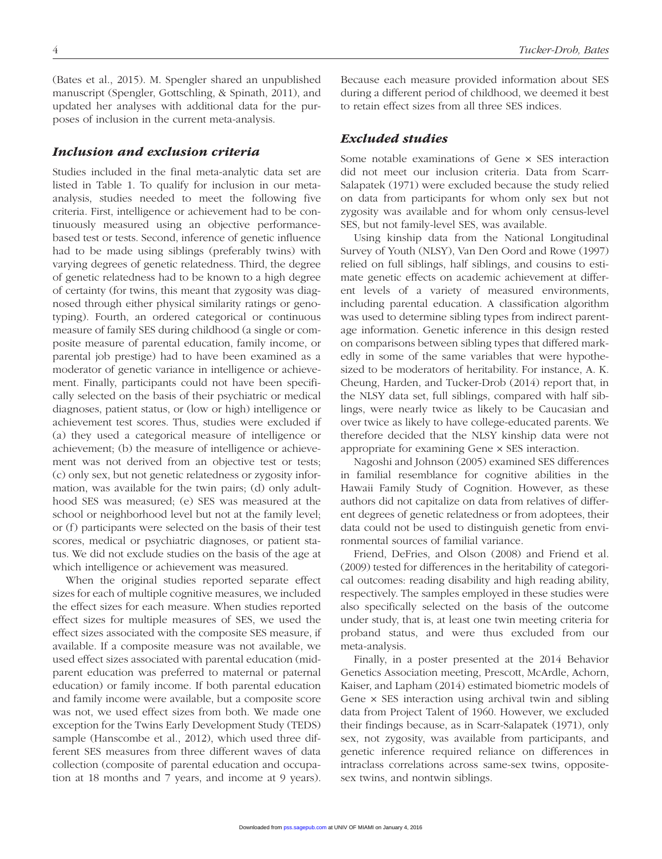(Bates et al., 2015). M. Spengler shared an unpublished manuscript (Spengler, Gottschling, & Spinath, 2011), and updated her analyses with additional data for the purposes of inclusion in the current meta-analysis.

# *Inclusion and exclusion criteria*

Studies included in the final meta-analytic data set are listed in Table 1. To qualify for inclusion in our metaanalysis, studies needed to meet the following five criteria. First, intelligence or achievement had to be continuously measured using an objective performancebased test or tests. Second, inference of genetic influence had to be made using siblings (preferably twins) with varying degrees of genetic relatedness. Third, the degree of genetic relatedness had to be known to a high degree of certainty (for twins, this meant that zygosity was diagnosed through either physical similarity ratings or genotyping). Fourth, an ordered categorical or continuous measure of family SES during childhood (a single or composite measure of parental education, family income, or parental job prestige) had to have been examined as a moderator of genetic variance in intelligence or achievement. Finally, participants could not have been specifically selected on the basis of their psychiatric or medical diagnoses, patient status, or (low or high) intelligence or achievement test scores. Thus, studies were excluded if (a) they used a categorical measure of intelligence or achievement; (b) the measure of intelligence or achievement was not derived from an objective test or tests; (c) only sex, but not genetic relatedness or zygosity information, was available for the twin pairs; (d) only adulthood SES was measured; (e) SES was measured at the school or neighborhood level but not at the family level; or (f) participants were selected on the basis of their test scores, medical or psychiatric diagnoses, or patient status. We did not exclude studies on the basis of the age at which intelligence or achievement was measured.

When the original studies reported separate effect sizes for each of multiple cognitive measures, we included the effect sizes for each measure. When studies reported effect sizes for multiple measures of SES, we used the effect sizes associated with the composite SES measure, if available. If a composite measure was not available, we used effect sizes associated with parental education (midparent education was preferred to maternal or paternal education) or family income. If both parental education and family income were available, but a composite score was not, we used effect sizes from both. We made one exception for the Twins Early Development Study (TEDS) sample (Hanscombe et al., 2012), which used three different SES measures from three different waves of data collection (composite of parental education and occupation at 18 months and 7 years, and income at 9 years).

Because each measure provided information about SES during a different period of childhood, we deemed it best to retain effect sizes from all three SES indices.

# *Excluded studies*

Some notable examinations of Gene × SES interaction did not meet our inclusion criteria. Data from Scarr-Salapatek (1971) were excluded because the study relied on data from participants for whom only sex but not zygosity was available and for whom only census-level SES, but not family-level SES, was available.

Using kinship data from the National Longitudinal Survey of Youth (NLSY), Van Den Oord and Rowe (1997) relied on full siblings, half siblings, and cousins to estimate genetic effects on academic achievement at different levels of a variety of measured environments, including parental education. A classification algorithm was used to determine sibling types from indirect parentage information. Genetic inference in this design rested on comparisons between sibling types that differed markedly in some of the same variables that were hypothesized to be moderators of heritability. For instance, A. K. Cheung, Harden, and Tucker-Drob (2014) report that, in the NLSY data set, full siblings, compared with half siblings, were nearly twice as likely to be Caucasian and over twice as likely to have college-educated parents. We therefore decided that the NLSY kinship data were not appropriate for examining Gene × SES interaction.

Nagoshi and Johnson (2005) examined SES differences in familial resemblance for cognitive abilities in the Hawaii Family Study of Cognition. However, as these authors did not capitalize on data from relatives of different degrees of genetic relatedness or from adoptees, their data could not be used to distinguish genetic from environmental sources of familial variance.

Friend, DeFries, and Olson (2008) and Friend et al. (2009) tested for differences in the heritability of categorical outcomes: reading disability and high reading ability, respectively. The samples employed in these studies were also specifically selected on the basis of the outcome under study, that is, at least one twin meeting criteria for proband status, and were thus excluded from our meta-analysis.

Finally, in a poster presented at the 2014 Behavior Genetics Association meeting, Prescott, McArdle, Achorn, Kaiser, and Lapham (2014) estimated biometric models of Gene  $\times$  SES interaction using archival twin and sibling data from Project Talent of 1960. However, we excluded their findings because, as in Scarr-Salapatek (1971), only sex, not zygosity, was available from participants, and genetic inference required reliance on differences in intraclass correlations across same-sex twins, oppositesex twins, and nontwin siblings.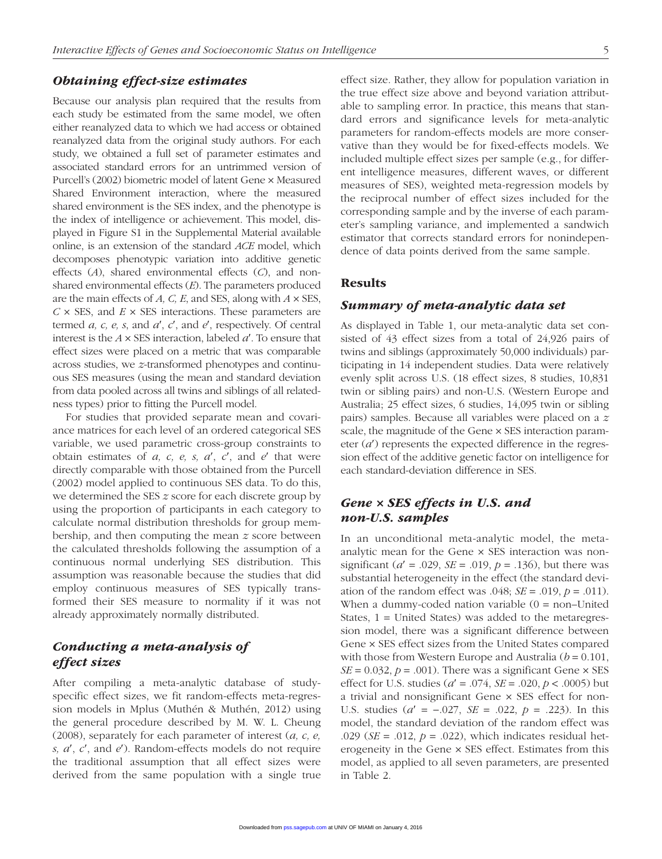# *Obtaining effect-size estimates*

Because our analysis plan required that the results from each study be estimated from the same model, we often either reanalyzed data to which we had access or obtained reanalyzed data from the original study authors. For each study, we obtained a full set of parameter estimates and associated standard errors for an untrimmed version of Purcell's (2002) biometric model of latent Gene × Measured Shared Environment interaction, where the measured shared environment is the SES index, and the phenotype is the index of intelligence or achievement. This model, displayed in Figure S1 in the Supplemental Material available online, is an extension of the standard *ACE* model, which decomposes phenotypic variation into additive genetic effects (*A*), shared environmental effects (*C*), and nonshared environmental effects (*E*). The parameters produced are the main effects of *A, C, E*, and SES, along with *A* × SES,  $C \times$  SES, and  $E \times$  SES interactions. These parameters are termed *a, c, e, s*, and *a*′, *c*′, and *e*′, respectively. Of central interest is the *A* × SES interaction, labeled *a*′. To ensure that effect sizes were placed on a metric that was comparable across studies, we *z*-transformed phenotypes and continuous SES measures (using the mean and standard deviation from data pooled across all twins and siblings of all relatedness types) prior to fitting the Purcell model.

For studies that provided separate mean and covariance matrices for each level of an ordered categorical SES variable, we used parametric cross-group constraints to obtain estimates of *a, c, e, s, a*′, *c*′, and *e*′ that were directly comparable with those obtained from the Purcell (2002) model applied to continuous SES data. To do this, we determined the SES *z* score for each discrete group by using the proportion of participants in each category to calculate normal distribution thresholds for group membership, and then computing the mean *z* score between the calculated thresholds following the assumption of a continuous normal underlying SES distribution. This assumption was reasonable because the studies that did employ continuous measures of SES typically transformed their SES measure to normality if it was not already approximately normally distributed.

# *Conducting a meta-analysis of effect sizes*

After compiling a meta-analytic database of studyspecific effect sizes, we fit random-effects meta-regression models in Mplus (Muthén & Muthén, 2012) using the general procedure described by M. W. L. Cheung (2008), separately for each parameter of interest (*a, c, e, s, a*′, *c*′, and *e*′). Random-effects models do not require the traditional assumption that all effect sizes were derived from the same population with a single true effect size. Rather, they allow for population variation in the true effect size above and beyond variation attributable to sampling error. In practice, this means that standard errors and significance levels for meta-analytic parameters for random-effects models are more conservative than they would be for fixed-effects models. We included multiple effect sizes per sample (e.g., for different intelligence measures, different waves, or different measures of SES), weighted meta-regression models by the reciprocal number of effect sizes included for the corresponding sample and by the inverse of each parameter's sampling variance, and implemented a sandwich estimator that corrects standard errors for nonindependence of data points derived from the same sample.

# **Results**

# *Summary of meta-analytic data set*

As displayed in Table 1, our meta-analytic data set consisted of 43 effect sizes from a total of 24,926 pairs of twins and siblings (approximately 50,000 individuals) participating in 14 independent studies. Data were relatively evenly split across U.S. (18 effect sizes, 8 studies, 10,831 twin or sibling pairs) and non-U.S. (Western Europe and Australia; 25 effect sizes, 6 studies, 14,095 twin or sibling pairs) samples. Because all variables were placed on a *z* scale, the magnitude of the Gene × SES interaction parameter (*a*′) represents the expected difference in the regression effect of the additive genetic factor on intelligence for each standard-deviation difference in SES.

# *Gene × SES effects in U.S. and non-U.S. samples*

In an unconditional meta-analytic model, the metaanalytic mean for the Gene × SES interaction was nonsignificant ( $a' = .029$ ,  $SE = .019$ ,  $p = .136$ ), but there was substantial heterogeneity in the effect (the standard deviation of the random effect was  $.048$ ;  $SE = .019$ ,  $p = .011$ ). When a dummy-coded nation variable  $(0 = non-United)$ States, 1 = United States) was added to the metaregression model, there was a significant difference between Gene × SES effect sizes from the United States compared with those from Western Europe and Australia (*b* = 0.101,  $SE = 0.032$ ,  $p = .001$ ). There was a significant Gene  $\times$  SES effect for U.S. studies (*a*′ = .074, *SE* = .020, *p* < .0005) but a trivial and nonsignificant Gene × SES effect for non-U.S. studies (*a*′ = −.027, *SE* = .022, *p* = .223). In this model, the standard deviation of the random effect was .029 ( $SE = .012$ ,  $p = .022$ ), which indicates residual heterogeneity in the Gene × SES effect. Estimates from this model, as applied to all seven parameters, are presented in Table 2.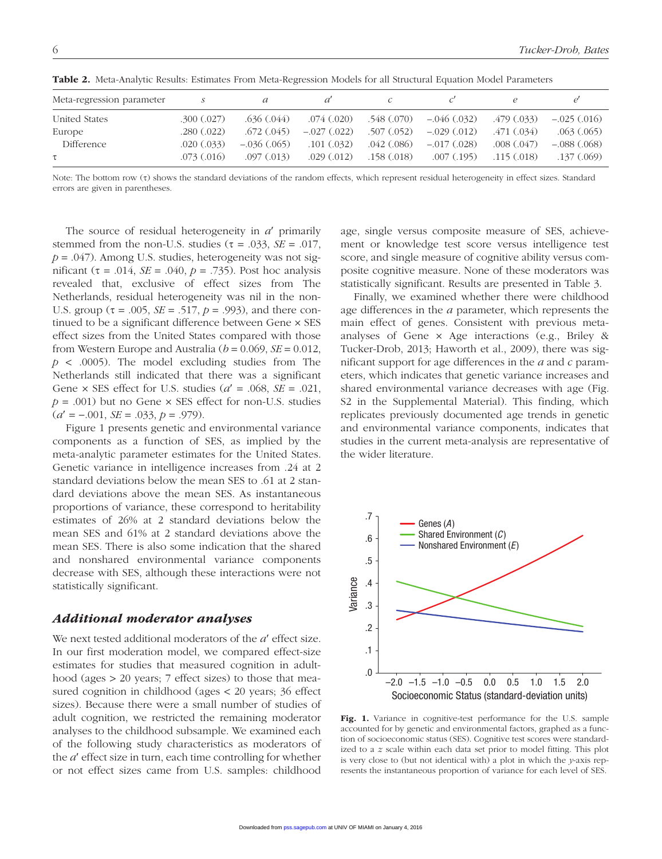| Meta-regression parameter |                 |                 |               |             |               |             |               |
|---------------------------|-----------------|-----------------|---------------|-------------|---------------|-------------|---------------|
| United States             | .300(.027)      | .636(.044)      | .074(0.020)   | .548 (.070) | $-.046(.032)$ | .479 (.033) | $-.025(.016)$ |
| Europe                    | .280(.022)      | .672(.045)      | $-.027(.022)$ | .507(.052)  | $-.029(.012)$ | .471 (.034) | .063(.065)    |
| <b>Difference</b>         | $.020$ $(.033)$ | $-.036(.065)$   | .101(.032)    | .042(.086)  | $-.017(.028)$ | .008(.047)  | $-.088(.068)$ |
|                           | .073(.016)      | $.097 \,(.013)$ | .029(.012)    | .158(.018)  | .007(.195)    | .115(.018)  | .137(.069)    |

Table 2. Meta-Analytic Results: Estimates From Meta-Regression Models for all Structural Equation Model Parameters

Note: The bottom row (τ) shows the standard deviations of the random effects, which represent residual heterogeneity in effect sizes. Standard errors are given in parentheses.

The source of residual heterogeneity in *a*′ primarily stemmed from the non-U.S. studies ( $\tau = .033$ , *SE* = .017,  $p = .047$ ). Among U.S. studies, heterogeneity was not significant (τ = .014, *SE* = .040,  $p = .735$ ). Post hoc analysis revealed that, exclusive of effect sizes from The Netherlands, residual heterogeneity was nil in the non-U.S. group ( $\tau$  = .005, *SE* = .517, *p* = .993), and there continued to be a significant difference between Gene × SES effect sizes from the United States compared with those from Western Europe and Australia ( $b = 0.069$ , *SE* = 0.012, *p* < .0005). The model excluding studies from The Netherlands still indicated that there was a significant Gene × SES effect for U.S. studies (*a*′ = .068, *SE* = .021,  $p = .001$ ) but no Gene  $\times$  SES effect for non-U.S. studies (*a*′ = −.001, *SE* = .033, *p* = .979).

Figure 1 presents genetic and environmental variance components as a function of SES, as implied by the meta-analytic parameter estimates for the United States. Genetic variance in intelligence increases from .24 at 2 standard deviations below the mean SES to .61 at 2 standard deviations above the mean SES. As instantaneous proportions of variance, these correspond to heritability estimates of 26% at 2 standard deviations below the mean SES and 61% at 2 standard deviations above the mean SES. There is also some indication that the shared and nonshared environmental variance components decrease with SES, although these interactions were not statistically significant.

# *Additional moderator analyses*

We next tested additional moderators of the *a*′ effect size. In our first moderation model, we compared effect-size estimates for studies that measured cognition in adulthood (ages > 20 years; 7 effect sizes) to those that measured cognition in childhood (ages < 20 years; 36 effect sizes). Because there were a small number of studies of adult cognition, we restricted the remaining moderator analyses to the childhood subsample. We examined each of the following study characteristics as moderators of the *a*′ effect size in turn, each time controlling for whether or not effect sizes came from U.S. samples: childhood

age, single versus composite measure of SES, achievement or knowledge test score versus intelligence test score, and single measure of cognitive ability versus composite cognitive measure. None of these moderators was statistically significant. Results are presented in Table 3.

Finally, we examined whether there were childhood age differences in the *a* parameter, which represents the main effect of genes. Consistent with previous metaanalyses of Gene × Age interactions (e.g., Briley & Tucker-Drob, 2013; Haworth et al., 2009), there was significant support for age differences in the *a* and *c* parameters, which indicates that genetic variance increases and shared environmental variance decreases with age (Fig. S2 in the Supplemental Material). This finding, which replicates previously documented age trends in genetic and environmental variance components, indicates that studies in the current meta-analysis are representative of the wider literature.



Fig. 1. Variance in cognitive-test performance for the U.S. sample accounted for by genetic and environmental factors, graphed as a function of socioeconomic status (SES). Cognitive test scores were standardized to a *z* scale within each data set prior to model fitting. This plot is very close to (but not identical with) a plot in which the *y*-axis represents the instantaneous proportion of variance for each level of SES.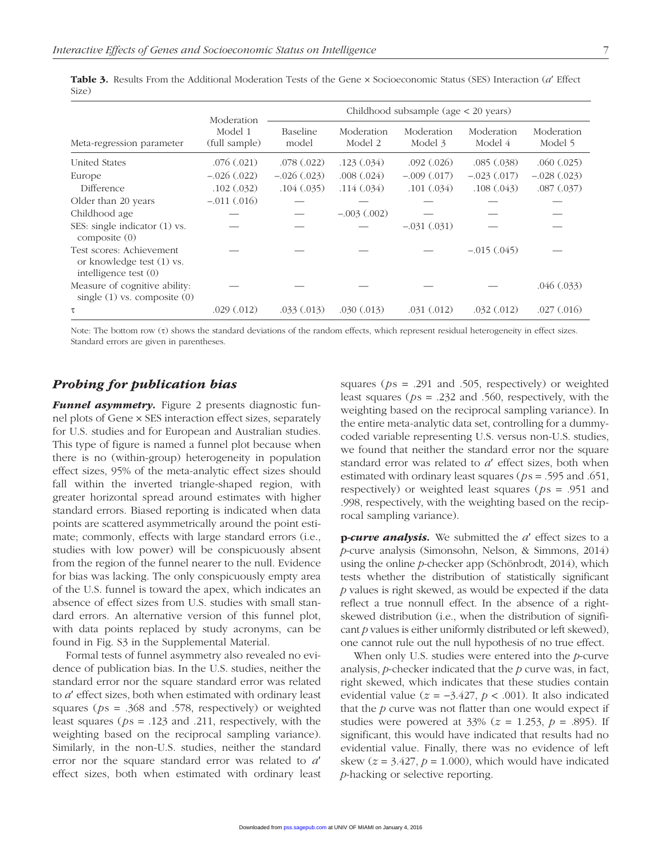|                                                                                  | Moderation<br>Model 1<br>(full sample) | Childhood subsample (age $\lt$ 20 years) |                       |                       |                       |                       |  |  |
|----------------------------------------------------------------------------------|----------------------------------------|------------------------------------------|-----------------------|-----------------------|-----------------------|-----------------------|--|--|
| Meta-regression parameter                                                        |                                        | Baseline<br>model                        | Moderation<br>Model 2 | Moderation<br>Model 3 | Moderation<br>Model 4 | Moderation<br>Model 5 |  |  |
| <b>United States</b>                                                             | .076(.021)                             | .078(.022)                               | .123(.034)            | .092(.026)            | .085(.038)            | .060(.025)            |  |  |
| Europe                                                                           | $-.026(.022)$                          | $-.026(.023)$                            | .008(.024)            | $-.009(.017)$         | $-.023(.017)$         | $-.028(.023)$         |  |  |
| <b>Difference</b>                                                                | .102(.032)                             | .104(.035)                               | .114(.034)            | .101(.034)            | .108(.043)            | .087(.037)            |  |  |
| Older than 20 years                                                              | $-.011(.016)$                          |                                          |                       |                       |                       |                       |  |  |
| Childhood age                                                                    |                                        |                                          | $-.003(.002)$         |                       |                       |                       |  |  |
| SES: single indicator (1) vs.<br>composite $(0)$                                 |                                        |                                          |                       | $-.031(.031)$         |                       |                       |  |  |
| Test scores: Achievement<br>or knowledge test (1) vs.<br>intelligence test $(0)$ |                                        |                                          |                       |                       | $-.015(.045)$         |                       |  |  |
| Measure of cognitive ability:<br>single $(1)$ vs. composite $(0)$                |                                        |                                          |                       |                       |                       | .046(.033)            |  |  |
| τ                                                                                | .029(.012)                             | .033(.013)                               | .030(.013)            | .031(.012)            | .032(.012)            | $.027 \; (.016)$      |  |  |

Table 3. Results From the Additional Moderation Tests of the Gene × Socioeconomic Status (SES) Interaction (*a*′ Effect Size)

Note: The bottom row (τ) shows the standard deviations of the random effects, which represent residual heterogeneity in effect sizes. Standard errors are given in parentheses.

# *Probing for publication bias*

*Funnel asymmetry.* Figure 2 presents diagnostic funnel plots of Gene × SES interaction effect sizes, separately for U.S. studies and for European and Australian studies. This type of figure is named a funnel plot because when there is no (within-group) heterogeneity in population effect sizes, 95% of the meta-analytic effect sizes should fall within the inverted triangle-shaped region, with greater horizontal spread around estimates with higher standard errors. Biased reporting is indicated when data points are scattered asymmetrically around the point estimate; commonly, effects with large standard errors (i.e., studies with low power) will be conspicuously absent from the region of the funnel nearer to the null. Evidence for bias was lacking. The only conspicuously empty area of the U.S. funnel is toward the apex, which indicates an absence of effect sizes from U.S. studies with small standard errors. An alternative version of this funnel plot, with data points replaced by study acronyms, can be found in Fig. S3 in the Supplemental Material.

Formal tests of funnel asymmetry also revealed no evidence of publication bias. In the U.S. studies, neither the standard error nor the square standard error was related to *a*′ effect sizes, both when estimated with ordinary least squares (*p*s = .368 and .578, respectively) or weighted least squares (*p*s = .123 and .211, respectively, with the weighting based on the reciprocal sampling variance). Similarly, in the non-U.S. studies, neither the standard error nor the square standard error was related to *a*′ effect sizes, both when estimated with ordinary least squares (*p*s = .291 and .505, respectively) or weighted least squares (*p*s = .232 and .560, respectively, with the weighting based on the reciprocal sampling variance). In the entire meta-analytic data set, controlling for a dummycoded variable representing U.S. versus non-U.S. studies, we found that neither the standard error nor the square standard error was related to *a*′ effect sizes, both when estimated with ordinary least squares (*p*s = .595 and .651, respectively) or weighted least squares (*p*s = .951 and .998, respectively, with the weighting based on the reciprocal sampling variance).

p*-curve analysis.* We submitted the *a*′ effect sizes to a *p*-curve analysis (Simonsohn, Nelson, & Simmons, 2014) using the online *p*-checker app (Schönbrodt, 2014), which tests whether the distribution of statistically significant *p* values is right skewed, as would be expected if the data reflect a true nonnull effect. In the absence of a rightskewed distribution (i.e., when the distribution of significant *p* values is either uniformly distributed or left skewed), one cannot rule out the null hypothesis of no true effect.

When only U.S. studies were entered into the *p*-curve analysis, *p*-checker indicated that the *p* curve was, in fact, right skewed, which indicates that these studies contain evidential value ( $z = -3.427$ ,  $p < .001$ ). It also indicated that the *p* curve was not flatter than one would expect if studies were powered at  $33\%$  ( $z = 1.253$ ,  $p = .895$ ). If significant, this would have indicated that results had no evidential value. Finally, there was no evidence of left skew  $(z = 3.427, p = 1.000)$ , which would have indicated *p*-hacking or selective reporting.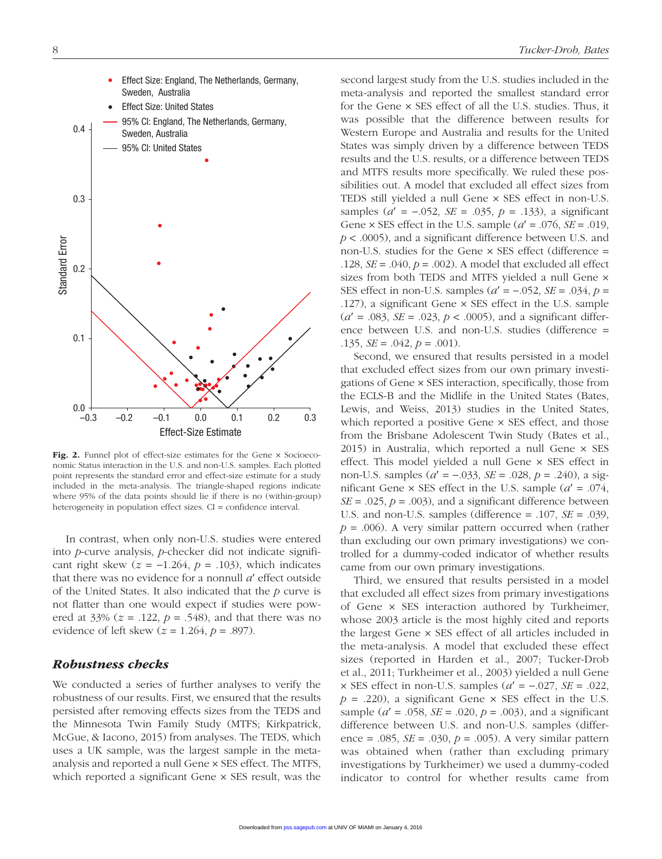

Fig. 2. Funnel plot of effect-size estimates for the Gene  $\times$  Socioeconomic Status interaction in the U.S. and non-U.S. samples. Each plotted point represents the standard error and effect-size estimate for a study included in the meta-analysis. The triangle-shaped regions indicate where 95% of the data points should lie if there is no (within-group) heterogeneity in population effect sizes. CI = confidence interval.

In contrast, when only non-U.S. studies were entered into *p*-curve analysis, *p*-checker did not indicate significant right skew  $(z = -1.264, p = .103)$ , which indicates that there was no evidence for a nonnull *a*′ effect outside of the United States. It also indicated that the *p* curve is not flatter than one would expect if studies were powered at  $33\%$  ( $z = .122$ ,  $p = .548$ ), and that there was no evidence of left skew  $(z = 1.264, p = .897)$ .

# *Robustness checks*

We conducted a series of further analyses to verify the robustness of our results. First, we ensured that the results persisted after removing effects sizes from the TEDS and the Minnesota Twin Family Study (MTFS; Kirkpatrick, McGue, & Iacono, 2015) from analyses. The TEDS, which uses a UK sample, was the largest sample in the metaanalysis and reported a null Gene × SES effect. The MTFS, which reported a significant Gene × SES result, was the second largest study from the U.S. studies included in the meta-analysis and reported the smallest standard error for the Gene × SES effect of all the U.S. studies. Thus, it was possible that the difference between results for Western Europe and Australia and results for the United States was simply driven by a difference between TEDS results and the U.S. results, or a difference between TEDS and MTFS results more specifically. We ruled these possibilities out. A model that excluded all effect sizes from TEDS still yielded a null Gene × SES effect in non-U.S. samples (*a*′ = −.052, *SE* = .035, *p* = .133), a significant Gene  $\times$  SES effect in the U.S. sample ( $a' = .076$ ,  $SE = .019$ , *p* < .0005), and a significant difference between U.S. and non-U.S. studies for the Gene  $\times$  SES effect (difference = .128,  $SE = .040$ ,  $p = .002$ ). A model that excluded all effect sizes from both TEDS and MTFS yielded a null Gene × SES effect in non-U.S. samples (*a*′ = −.052, *SE* = .034, *p* = .127), a significant Gene × SES effect in the U.S. sample  $(a' = .083, SE = .023, p < .0005)$ , and a significant difference between U.S. and non-U.S. studies (difference = .135,  $SE = .042$ ,  $p = .001$ ).

Second, we ensured that results persisted in a model that excluded effect sizes from our own primary investigations of Gene × SES interaction, specifically, those from the ECLS-B and the Midlife in the United States (Bates, Lewis, and Weiss, 2013) studies in the United States, which reported a positive Gene  $\times$  SES effect, and those from the Brisbane Adolescent Twin Study (Bates et al., 2015) in Australia, which reported a null Gene  $\times$  SES effect. This model yielded a null Gene × SES effect in non-U.S. samples (*a*′ = −.033, *SE* = .028, *p* = .240), a significant Gene  $\times$  SES effect in the U.S. sample ( $a' = .074$ ,  $SE = .025$ ,  $p = .003$ ), and a significant difference between U.S. and non-U.S. samples (difference = .107, *SE* = .039,  $p = .006$ ). A very similar pattern occurred when (rather than excluding our own primary investigations) we controlled for a dummy-coded indicator of whether results came from our own primary investigations.

Third, we ensured that results persisted in a model that excluded all effect sizes from primary investigations of Gene × SES interaction authored by Turkheimer, whose 2003 article is the most highly cited and reports the largest Gene × SES effect of all articles included in the meta-analysis. A model that excluded these effect sizes (reported in Harden et al., 2007; Tucker-Drob et al., 2011; Turkheimer et al., 2003) yielded a null Gene × SES effect in non-U.S. samples (*a*′ = −.027, *SE* = .022,  $p = .220$ , a significant Gene  $\times$  SES effect in the U.S. sample ( $a' = .058$ ,  $SE = .020$ ,  $p = .003$ ), and a significant difference between U.S. and non-U.S. samples (difference = .085, *SE* = .030, *p* = .005). A very similar pattern was obtained when (rather than excluding primary investigations by Turkheimer) we used a dummy-coded indicator to control for whether results came from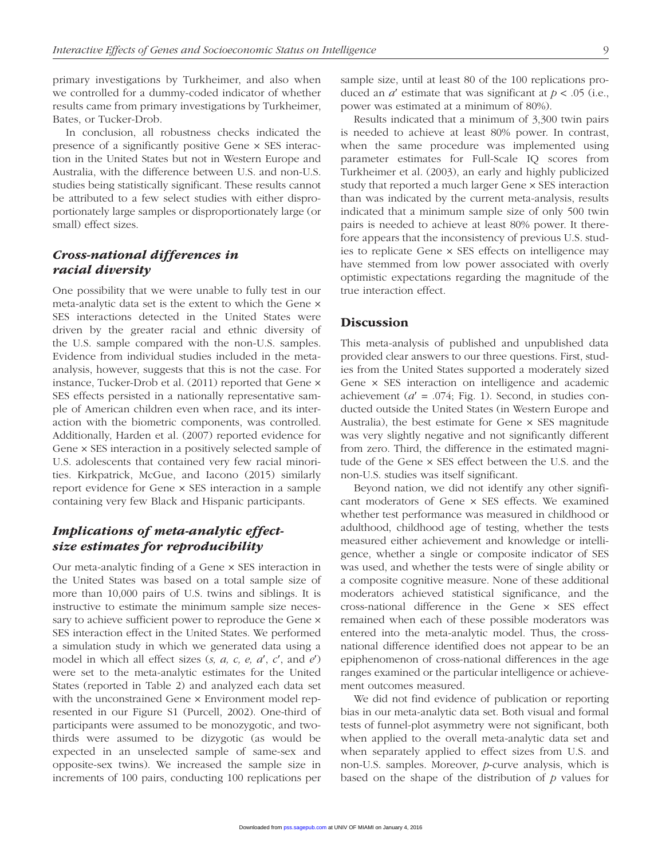primary investigations by Turkheimer, and also when we controlled for a dummy-coded indicator of whether results came from primary investigations by Turkheimer, Bates, or Tucker-Drob.

In conclusion, all robustness checks indicated the presence of a significantly positive Gene × SES interaction in the United States but not in Western Europe and Australia, with the difference between U.S. and non-U.S. studies being statistically significant. These results cannot be attributed to a few select studies with either disproportionately large samples or disproportionately large (or small) effect sizes.

# *Cross-national differences in racial diversity*

One possibility that we were unable to fully test in our meta-analytic data set is the extent to which the Gene × SES interactions detected in the United States were driven by the greater racial and ethnic diversity of the U.S. sample compared with the non-U.S. samples. Evidence from individual studies included in the metaanalysis, however, suggests that this is not the case. For instance, Tucker-Drob et al. (2011) reported that Gene × SES effects persisted in a nationally representative sample of American children even when race, and its interaction with the biometric components, was controlled. Additionally, Harden et al. (2007) reported evidence for Gene × SES interaction in a positively selected sample of U.S. adolescents that contained very few racial minorities. Kirkpatrick, McGue, and Iacono (2015) similarly report evidence for Gene × SES interaction in a sample containing very few Black and Hispanic participants.

# *Implications of meta-analytic effectsize estimates for reproducibility*

Our meta-analytic finding of a Gene × SES interaction in the United States was based on a total sample size of more than 10,000 pairs of U.S. twins and siblings. It is instructive to estimate the minimum sample size necessary to achieve sufficient power to reproduce the Gene  $\times$ SES interaction effect in the United States. We performed a simulation study in which we generated data using a model in which all effect sizes (*s, a, c, e, a*′, *c*′, and *e*′) were set to the meta-analytic estimates for the United States (reported in Table 2) and analyzed each data set with the unconstrained Gene × Environment model represented in our Figure S1 (Purcell, 2002). One-third of participants were assumed to be monozygotic, and twothirds were assumed to be dizygotic (as would be expected in an unselected sample of same-sex and opposite-sex twins). We increased the sample size in increments of 100 pairs, conducting 100 replications per

sample size, until at least 80 of the 100 replications produced an *a*′ estimate that was significant at *p* < .05 (i.e., power was estimated at a minimum of 80%).

Results indicated that a minimum of 3,300 twin pairs is needed to achieve at least 80% power. In contrast, when the same procedure was implemented using parameter estimates for Full-Scale IQ scores from Turkheimer et al. (2003), an early and highly publicized study that reported a much larger Gene × SES interaction than was indicated by the current meta-analysis, results indicated that a minimum sample size of only 500 twin pairs is needed to achieve at least 80% power. It therefore appears that the inconsistency of previous U.S. studies to replicate Gene × SES effects on intelligence may have stemmed from low power associated with overly optimistic expectations regarding the magnitude of the true interaction effect.

#### **Discussion**

This meta-analysis of published and unpublished data provided clear answers to our three questions. First, studies from the United States supported a moderately sized Gene × SES interaction on intelligence and academic achievement ( $a' = .074$ ; Fig. 1). Second, in studies conducted outside the United States (in Western Europe and Australia), the best estimate for Gene × SES magnitude was very slightly negative and not significantly different from zero. Third, the difference in the estimated magnitude of the Gene × SES effect between the U.S. and the non-U.S. studies was itself significant.

Beyond nation, we did not identify any other significant moderators of Gene × SES effects. We examined whether test performance was measured in childhood or adulthood, childhood age of testing, whether the tests measured either achievement and knowledge or intelligence, whether a single or composite indicator of SES was used, and whether the tests were of single ability or a composite cognitive measure. None of these additional moderators achieved statistical significance, and the cross-national difference in the Gene × SES effect remained when each of these possible moderators was entered into the meta-analytic model. Thus, the crossnational difference identified does not appear to be an epiphenomenon of cross-national differences in the age ranges examined or the particular intelligence or achievement outcomes measured.

We did not find evidence of publication or reporting bias in our meta-analytic data set. Both visual and formal tests of funnel-plot asymmetry were not significant, both when applied to the overall meta-analytic data set and when separately applied to effect sizes from U.S. and non-U.S. samples. Moreover, *p*-curve analysis, which is based on the shape of the distribution of *p* values for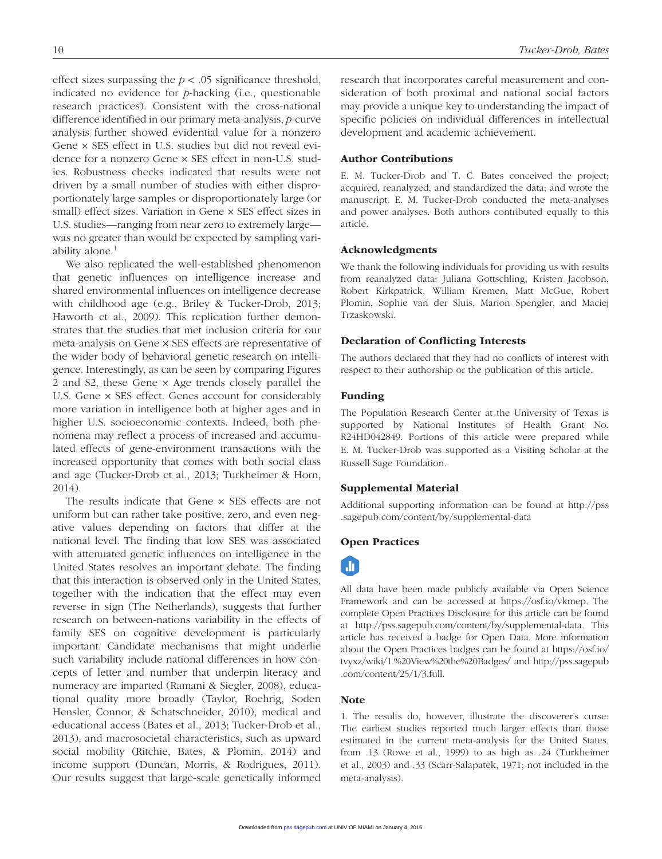effect sizes surpassing the  $p < 0.05$  significance threshold, indicated no evidence for *p*-hacking (i.e., questionable research practices). Consistent with the cross-national difference identified in our primary meta-analysis, *p*-curve analysis further showed evidential value for a nonzero Gene × SES effect in U.S. studies but did not reveal evidence for a nonzero Gene × SES effect in non-U.S. studies. Robustness checks indicated that results were not driven by a small number of studies with either disproportionately large samples or disproportionately large (or small) effect sizes. Variation in Gene × SES effect sizes in U.S. studies—ranging from near zero to extremely large was no greater than would be expected by sampling variability alone.<sup>1</sup>

We also replicated the well-established phenomenon that genetic influences on intelligence increase and shared environmental influences on intelligence decrease with childhood age (e.g., Briley & Tucker-Drob, 2013; Haworth et al., 2009). This replication further demonstrates that the studies that met inclusion criteria for our meta-analysis on Gene × SES effects are representative of the wider body of behavioral genetic research on intelligence. Interestingly, as can be seen by comparing Figures 2 and S2, these Gene × Age trends closely parallel the U.S. Gene × SES effect. Genes account for considerably more variation in intelligence both at higher ages and in higher U.S. socioeconomic contexts. Indeed, both phenomena may reflect a process of increased and accumulated effects of gene-environment transactions with the increased opportunity that comes with both social class and age (Tucker-Drob et al., 2013; Turkheimer & Horn, 2014).

The results indicate that Gene × SES effects are not uniform but can rather take positive, zero, and even negative values depending on factors that differ at the national level. The finding that low SES was associated with attenuated genetic influences on intelligence in the United States resolves an important debate. The finding that this interaction is observed only in the United States, together with the indication that the effect may even reverse in sign (The Netherlands), suggests that further research on between-nations variability in the effects of family SES on cognitive development is particularly important. Candidate mechanisms that might underlie such variability include national differences in how concepts of letter and number that underpin literacy and numeracy are imparted (Ramani & Siegler, 2008), educational quality more broadly (Taylor, Roehrig, Soden Hensler, Connor, & Schatschneider, 2010), medical and educational access (Bates et al., 2013; Tucker-Drob et al., 2013), and macrosocietal characteristics, such as upward social mobility (Ritchie, Bates, & Plomin, 2014) and income support (Duncan, Morris, & Rodrigues, 2011). Our results suggest that large-scale genetically informed

research that incorporates careful measurement and consideration of both proximal and national social factors may provide a unique key to understanding the impact of specific policies on individual differences in intellectual development and academic achievement.

### Author Contributions

E. M. Tucker-Drob and T. C. Bates conceived the project; acquired, reanalyzed, and standardized the data; and wrote the manuscript. E. M. Tucker-Drob conducted the meta-analyses and power analyses. Both authors contributed equally to this article.

#### Acknowledgments

We thank the following individuals for providing us with results from reanalyzed data: Juliana Gottschling, Kristen Jacobson, Robert Kirkpatrick, William Kremen, Matt McGue, Robert Plomin, Sophie van der Sluis, Marion Spengler, and Maciej Trzaskowski.

# Declaration of Conflicting Interests

The authors declared that they had no conflicts of interest with respect to their authorship or the publication of this article.

# Funding

The Population Research Center at the University of Texas is supported by National Institutes of Health Grant No. R24HD042849. Portions of this article were prepared while E. M. Tucker-Drob was supported as a Visiting Scholar at the Russell Sage Foundation.

#### Supplemental Material

Additional supporting information can be found at http://pss .sagepub.com/content/by/supplemental-data

#### Open Practices

 $\mathbf{d}$ 

All data have been made publicly available via Open Science Framework and can be accessed at https://osf.io/vkmep. The complete Open Practices Disclosure for this article can be found at http://pss.sagepub.com/content/by/supplemental-data. This article has received a badge for Open Data. More information about the Open Practices badges can be found at [https://osf.io/](https://osf.io/tvyxz/wiki/1.%20View%20the%20Badges/) [tvyxz/wiki/1.%20View%20the%20Badges/](https://osf.io/tvyxz/wiki/1.%20View%20the%20Badges/) and [http://pss.sagepub](http://pss.sagepub.com/content/25/1/3.full) [.com/content/25/1/3.full](http://pss.sagepub.com/content/25/1/3.full).

# Note

1. The results do, however, illustrate the discoverer's curse: The earliest studies reported much larger effects than those estimated in the current meta-analysis for the United States, from .13 (Rowe et al., 1999) to as high as .24 (Turkheimer et al., 2003) and .33 (Scarr-Salapatek, 1971; not included in the meta-analysis).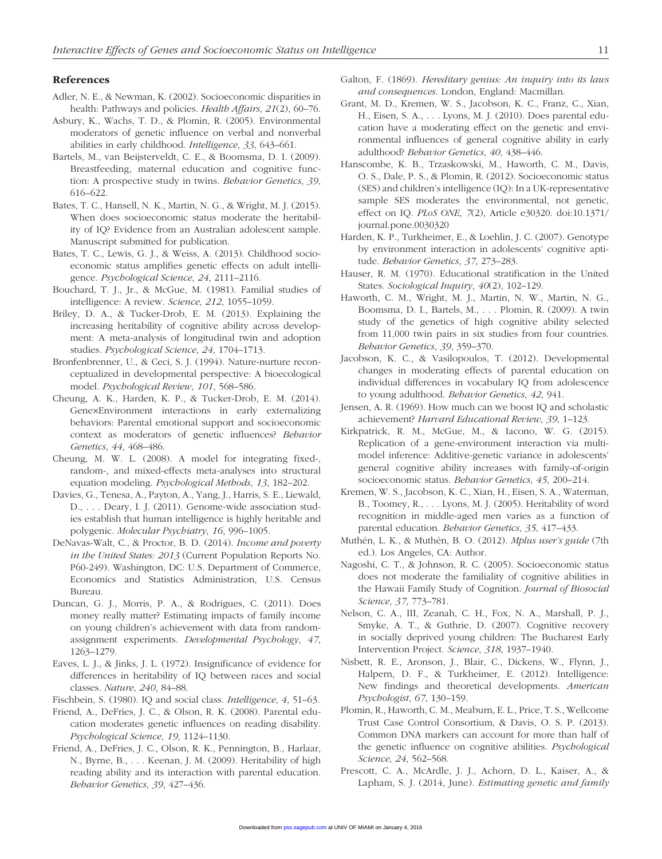#### References

- Adler, N. E., & Newman, K. (2002). Socioeconomic disparities in health: Pathways and policies. *Health Affairs*, *21*(2), 60–76.
- Asbury, K., Wachs, T. D., & Plomin, R. (2005). Environmental moderators of genetic influence on verbal and nonverbal abilities in early childhood. *Intelligence*, *33*, 643–661.
- Bartels, M., van Beijsterveldt, C. E., & Boomsma, D. I. (2009). Breastfeeding, maternal education and cognitive function: A prospective study in twins. *Behavior Genetics*, *39*, 616–622.
- Bates, T. C., Hansell, N. K., Martin, N. G., & Wright, M. J. (2015). When does socioeconomic status moderate the heritability of IQ? Evidence from an Australian adolescent sample. Manuscript submitted for publication.
- Bates, T. C., Lewis, G. J., & Weiss, A. (2013). Childhood socioeconomic status amplifies genetic effects on adult intelligence. *Psychological Science*, *24*, 2111–2116.
- Bouchard, T. J., Jr., & McGue, M. (1981). Familial studies of intelligence: A review. *Science*, *212*, 1055–1059.
- Briley, D. A., & Tucker-Drob, E. M. (2013). Explaining the increasing heritability of cognitive ability across development: A meta-analysis of longitudinal twin and adoption studies. *Psychological Science*, *24*, 1704–1713.
- Bronfenbrenner, U., & Ceci, S. J. (1994). Nature-nurture reconceptualized in developmental perspective: A bioecological model. *Psychological Review*, *101*, 568–586.
- Cheung, A. K., Harden, K. P., & Tucker-Drob, E. M. (2014). Gene×Environment interactions in early externalizing behaviors: Parental emotional support and socioeconomic context as moderators of genetic influences? *Behavior Genetics*, *44*, 468–486.
- Cheung, M. W. L. (2008). A model for integrating fixed-, random-, and mixed-effects meta-analyses into structural equation modeling. *Psychological Methods*, *13*, 182–202.
- Davies, G., Tenesa, A., Payton, A., Yang, J., Harris, S. E., Liewald, D., . . . Deary, I. J. (2011). Genome-wide association studies establish that human intelligence is highly heritable and polygenic. *Molecular Psychiatry*, *16*, 996–1005.
- DeNavas-Walt, C., & Proctor, B. D. (2014). *Income and poverty in the United States: 2013* (Current Population Reports No. P60-249). Washington, DC: U.S. Department of Commerce, Economics and Statistics Administration, U.S. Census Bureau.
- Duncan, G. J., Morris, P. A., & Rodrigues, C. (2011). Does money really matter? Estimating impacts of family income on young children's achievement with data from randomassignment experiments. *Developmental Psychology*, *47*, 1263–1279.
- Eaves, L. J., & Jinks, J. L. (1972). Insignificance of evidence for differences in heritability of IQ between races and social classes. *Nature*, *240*, 84–88.
- Fischbein, S. (1980). IQ and social class. *Intelligence*, *4*, 51–63.
- Friend, A., DeFries, J. C., & Olson, R. K. (2008). Parental education moderates genetic influences on reading disability. *Psychological Science*, *19*, 1124–1130.
- Friend, A., DeFries, J. C., Olson, R. K., Pennington, B., Harlaar, N., Byrne, B., . . . Keenan, J. M. (2009). Heritability of high reading ability and its interaction with parental education. *Behavior Genetics*, *39*, 427–436.
- Galton, F. (1869). *Hereditary genius: An inquiry into its laws and consequences*. London, England: Macmillan.
- Grant, M. D., Kremen, W. S., Jacobson, K. C., Franz, C., Xian, H., Eisen, S. A., . . . Lyons, M. J. (2010). Does parental education have a moderating effect on the genetic and environmental influences of general cognitive ability in early adulthood? *Behavior Genetics*, *40*, 438–446.
- Hanscombe, K. B., Trzaskowski, M., Haworth, C. M., Davis, O. S., Dale, P. S., & Plomin, R. (2012). Socioeconomic status (SES) and children's intelligence (IQ): In a UK-representative sample SES moderates the environmental, not genetic, effect on IQ. *PLoS ONE*, *7*(2), Article e30320. doi:10.1371/ journal.pone.0030320
- Harden, K. P., Turkheimer, E., & Loehlin, J. C. (2007). Genotype by environment interaction in adolescents' cognitive aptitude. *Behavior Genetics*, *37*, 273–283.
- Hauser, R. M. (1970). Educational stratification in the United States. *Sociological Inquiry*, *40*(2), 102–129.
- Haworth, C. M., Wright, M. J., Martin, N. W., Martin, N. G., Boomsma, D. I., Bartels, M., . . . Plomin, R. (2009). A twin study of the genetics of high cognitive ability selected from 11,000 twin pairs in six studies from four countries. *Behavior Genetics*, *39*, 359–370.
- Jacobson, K. C., & Vasilopoulos, T. (2012). Developmental changes in moderating effects of parental education on individual differences in vocabulary IQ from adolescence to young adulthood. *Behavior Genetics*, *42*, 941.
- Jensen, A. R. (1969). How much can we boost IQ and scholastic achievement? *Harvard Educational Review*, *39*, 1–123.
- Kirkpatrick, R. M., McGue, M., & Iacono, W. G. (2015). Replication of a gene-environment interaction via multimodel inference: Additive-genetic variance in adolescents' general cognitive ability increases with family-of-origin socioeconomic status. *Behavior Genetics*, *45*, 200–214.
- Kremen, W. S., Jacobson, K. C., Xian, H., Eisen, S. A., Waterman, B., Toomey, R., . . . Lyons, M. J. (2005). Heritability of word recognition in middle-aged men varies as a function of parental education. *Behavior Genetics*, *35*, 417–433.
- Muthén, L. K., & Muthén, B. O. (2012). *Mplus user's guide* (7th ed.). Los Angeles, CA: Author.
- Nagoshi, C. T., & Johnson, R. C. (2005). Socioeconomic status does not moderate the familiality of cognitive abilities in the Hawaii Family Study of Cognition. *Journal of Biosocial Science*, *37*, 773–781.
- Nelson, C. A., III, Zeanah, C. H., Fox, N. A., Marshall, P. J., Smyke, A. T., & Guthrie, D. (2007). Cognitive recovery in socially deprived young children: The Bucharest Early Intervention Project. *Science*, *318*, 1937–1940.
- Nisbett, R. E., Aronson, J., Blair, C., Dickens, W., Flynn, J., Halpern, D. F., & Turkheimer, E. (2012). Intelligence: New findings and theoretical developments. *American Psychologist*, *67*, 130–159.
- Plomin, R., Haworth, C. M., Meaburn, E. L., Price, T. S., Wellcome Trust Case Control Consortium, & Davis, O. S. P. (2013). Common DNA markers can account for more than half of the genetic influence on cognitive abilities. *Psychological Science*, *24*, 562–568.
- Prescott, C. A., McArdle, J. J., Achorn, D. L., Kaiser, A., & Lapham, S. J. (2014, June). *Estimating genetic and family*